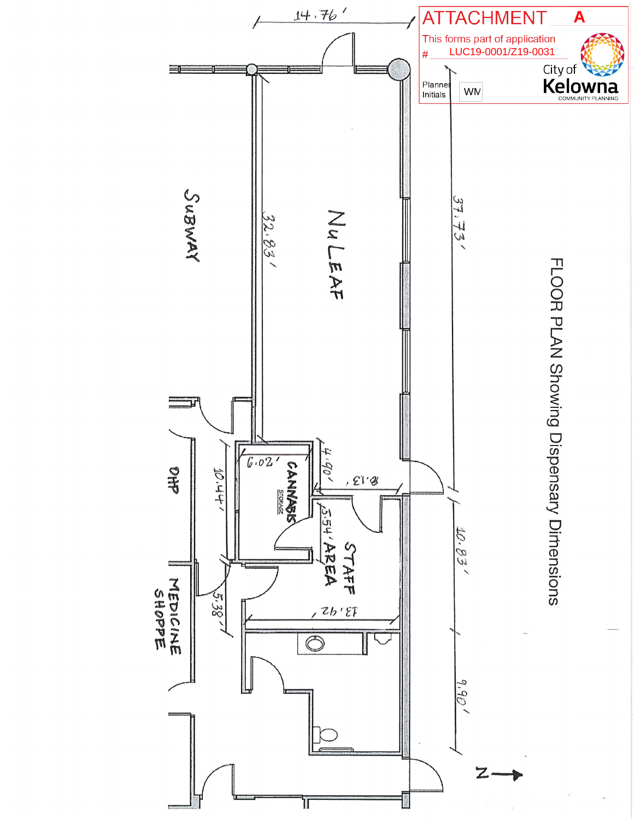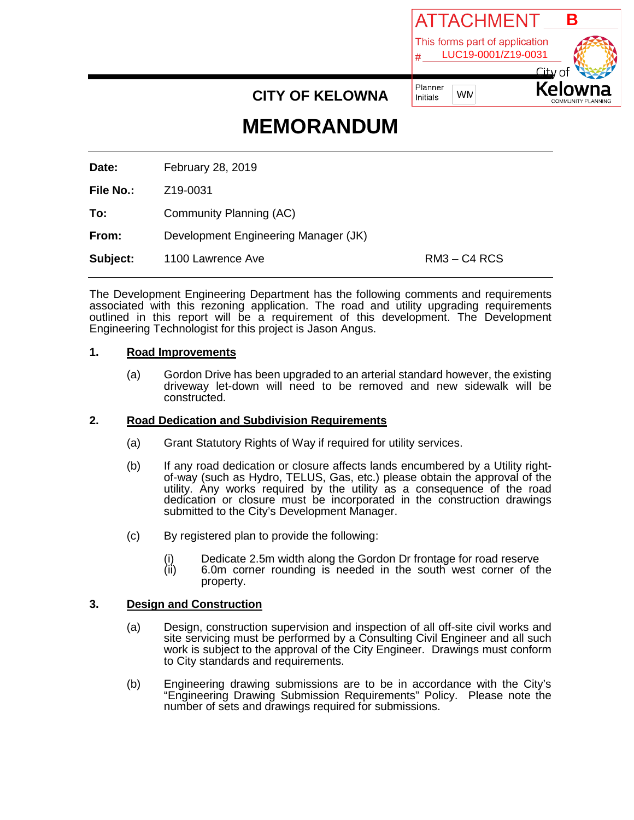

# **MEMORANDUM**

**CITY OF KELOWNA**

**Date:** February 28, 2019

**File No.:** Z19-0031

**To:** Community Planning (AC)

**From:** Development Engineering Manager (JK)

**Subject:** 1100 Lawrence Ave **RM3** – C4 RCS

The Development Engineering Department has the following comments and requirements associated with this rezoning application. The road and utility upgrading requirements outlined in this report will be a requirement of this development. The Development Engineering Technologist for this project is Jason Angus.

## **1. Road Improvements**

(a) Gordon Drive has been upgraded to an arterial standard however, the existing driveway let-down will need to be removed and new sidewalk will be constructed.

## **2. Road Dedication and Subdivision Requirements**

- (a) Grant Statutory Rights of Way if required for utility services.
- (b) If any road dedication or closure affects lands encumbered by a Utility right- of-way (such as Hydro, TELUS, Gas, etc.) please obtain the approval of the utility. Any works required by the utility as a consequence of the road dedication or closure must be incorporated in the construction drawings submitted to the City's Development Manager.
- (c) By registered plan to provide the following:
	- (i) Dedicate 2.5m width along the Gordon Dr frontage for road reserve<br>(ii) 6.0m corner rounding is needed in the south west corner of th
	- $6.0m$  corner rounding is needed in the south west corner of the property.

## **3. Design and Construction**

- (a) Design, construction supervision and inspection of all off-site civil works and site servicing must be performed by a Consulting Civil Engineer and all such work is subject to the approval of the City Engineer. Drawings must conform to City standards and requirements.
- (b) Engineering drawing submissions are to be in accordance with the City's "Engineering Drawing Submission Requirements" Policy. Please note the number of sets and drawings required for submissions.